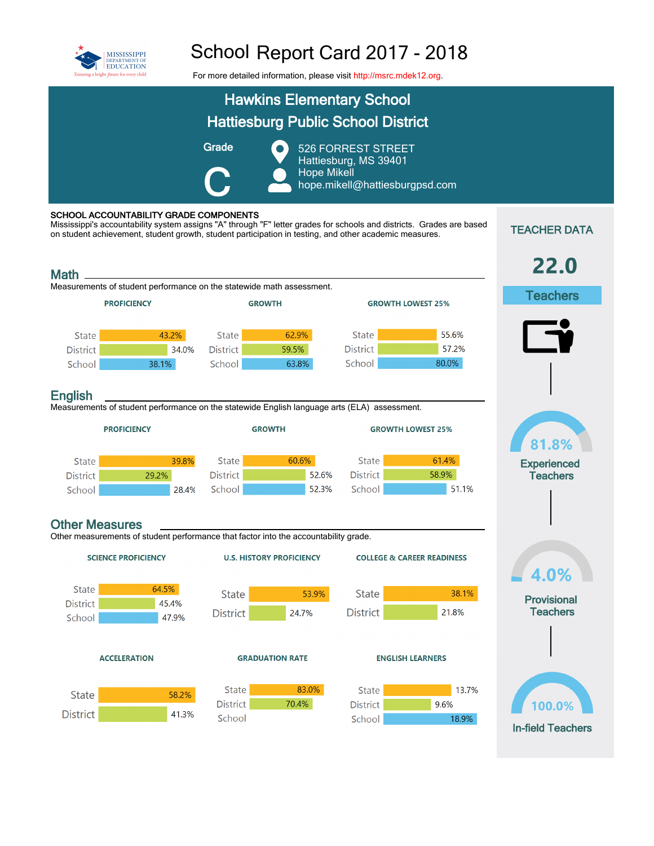

## School Report Card 2017 - 2018

For more detailed information, please visit [http://msrc.mdek12.org.](http://msrc.mdek12.org/)